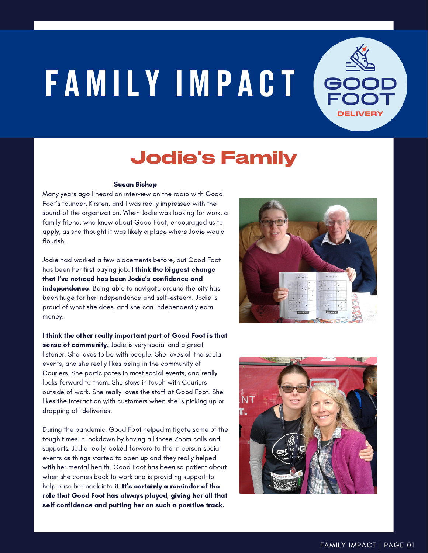## FAMILY IMPACT



## Jodie's Family

## Susan Bishop

Many years ago I heard an interview on the radio with Good Foot's founder, Kirsten, and I was really impressed with the sound of the organization. When Jodie was looking for work, a family friend, who knew about Good Foot, encouraged us to apply, as she thought it was likely a place where Jodie would flourish.

Jodie had worked a few placements before, but Good Foot has been her first paying job. I think the biggest change that I've noticed has been Jodie's confidence and independence. Being able to navigate around the city has been huge for her independence and self-esteem. Jodie is proud of what she does, and she can independently earn money.

I think the other really important part of Good Foot is that sense of community. Jodie is very social and a great listener. She loves to be with people. She loves all the social events, and she really likes being in the community of Couriers. She participates in most social events, and really looks forward to them. She stays in touch with Couriers outside of work. She really loves the staff at Good Foot. She likes the interaction with customers when she is picking up or dropping off deliveries.

During the pandemic, Good Foot helped mitigate some of the tough times in lockdown by having all those Zoom calls and supports. Jodie really looked forward to the in person social events as things started to open up and they really helped with her mental health. Good Foot has been so patient about when she comes back to work and is providing support to help ease her back into it. It's certainly a reminder of the role that Good Foot has always played, giving her all that self confidence and putting her on such a positive track.